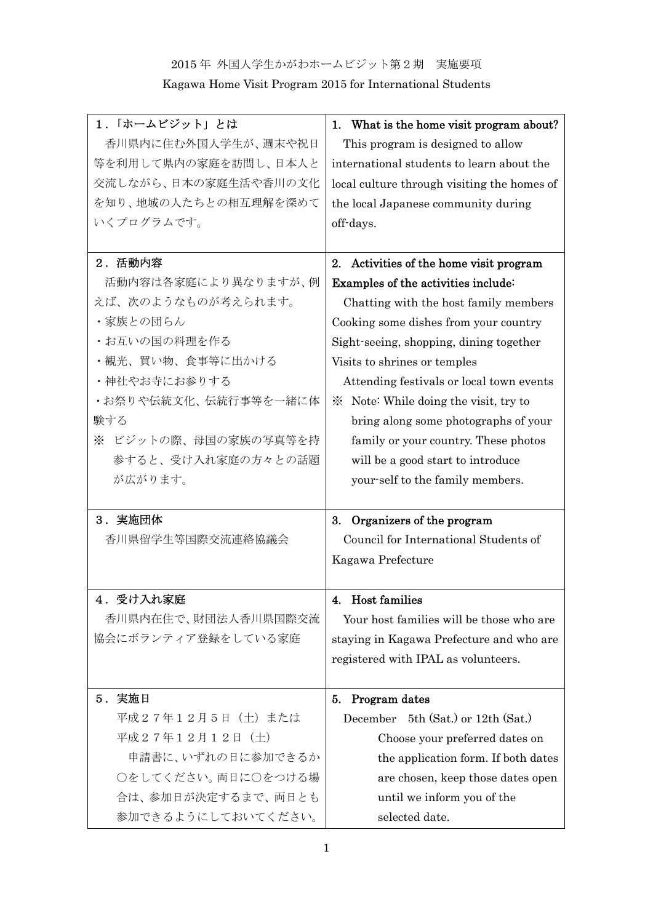## 2015 年 外国人学生かがわホームビジット第2期 実施要項

Kagawa Home Visit Program 2015 for International Students

| 1. 「ホームビジット」とは       | 1. What is the home visit program about?    |
|----------------------|---------------------------------------------|
| 香川県内に住む外国人学生が、週末や祝日  | This program is designed to allow           |
| 等を利用して県内の家庭を訪問し、日本人と | international students to learn about the   |
| 交流しながら、日本の家庭生活や香川の文化 | local culture through visiting the homes of |
| を知り、地域の人たちとの相互理解を深めて | the local Japanese community during         |
| いくプログラムです。           | off-days.                                   |
|                      |                                             |
| 2. 活動内容              | 2. Activities of the home visit program     |
| 活動内容は各家庭により異なりますが、例  | Examples of the activities include:         |
| えば、次のようなものが考えられます。   | Chatting with the host family members       |
| ・家族との団らん             | Cooking some dishes from your country       |
| ・お互いの国の料理を作る         | Sight-seeing, shopping, dining together     |
| ・観光、買い物、食事等に出かける     | Visits to shrines or temples                |
| ・神社やお寺にお参りする         | Attending festivals or local town events    |
| ・お祭りや伝統文化、伝統行事等を一緒に体 | × Note: While doing the visit, try to       |
| 験する                  | bring along some photographs of your        |
| ※ ビジットの際、母国の家族の写真等を持 | family or your country. These photos        |
| 参すると、受け入れ家庭の方々との話題   | will be a good start to introduce           |
| が広がります。              | your-self to the family members.            |
|                      |                                             |
| 3. 実施団体              | 3. Organizers of the program                |
| 香川県留学生等国際交流連絡協議会     | Council for International Students of       |
|                      | Kagawa Prefecture                           |
|                      |                                             |
| 4.受け入れ家庭             | 4. Host families                            |
| 香川県内在住で、財団法人香川県国際交流  | Your host families will be those who are    |
| 協会にボランティア登録をしている家庭   | staying in Kagawa Prefecture and who are    |
|                      | registered with IPAL as volunteers.         |
|                      |                                             |
| 5. 実施日               | 5. Program dates                            |
| 平成27年12月5日 (土) または   | December 5th (Sat.) or 12th (Sat.)          |
| 平成27年12月12日 (土)      | Choose your preferred dates on              |
| 申請書に、いずれの日に参加できるか    | the application form. If both dates         |
| ○をしてください。両日に○をつける場   | are chosen, keep those dates open           |
| 合は、参加日が決定するまで、両日とも   | until we inform you of the                  |
| 参加できるようにしておいてください。   | selected date.                              |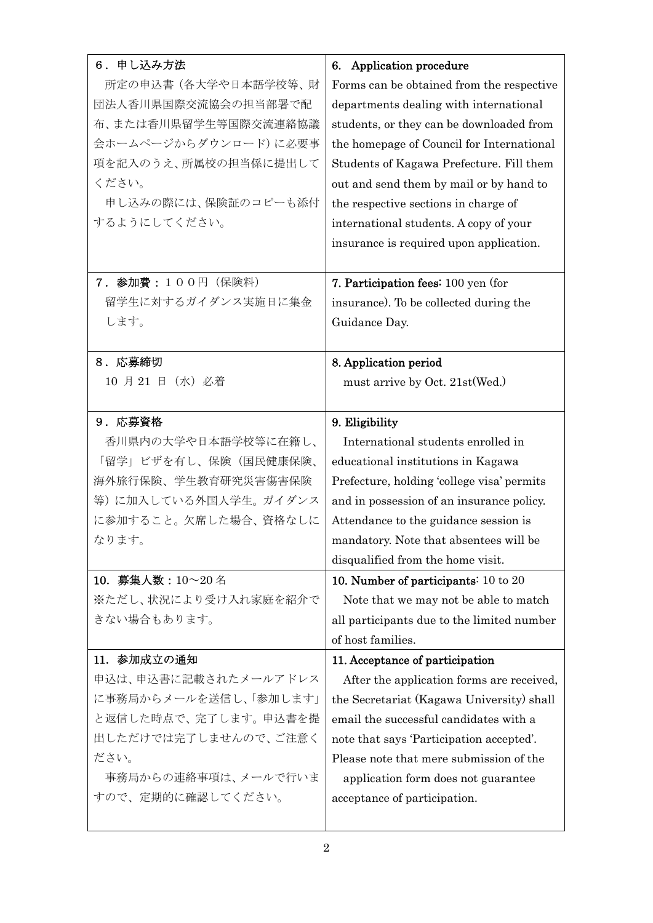| 6. 申し込み方法             | 6. Application procedure                   |
|-----------------------|--------------------------------------------|
| 所定の申込書(各大学や日本語学校等、財   | Forms can be obtained from the respective  |
| 団法人香川県国際交流協会の担当部署で配   | departments dealing with international     |
| 布、または香川県留学生等国際交流連絡協議  | students, or they can be downloaded from   |
| 会ホームページからダウンロード)に必要事  | the homepage of Council for International  |
| 項を記入のうえ、所属校の担当係に提出して  | Students of Kagawa Prefecture. Fill them   |
| ください。                 | out and send them by mail or by hand to    |
| 申し込みの際には、保険証のコピーも添付   | the respective sections in charge of       |
| するようにしてください。          | international students. A copy of your     |
|                       | insurance is required upon application.    |
|                       |                                            |
| 7. 参加費: 100円 (保険料)    | 7. Participation fees: 100 yen (for        |
| 留学生に対するガイダンス実施日に集金    | insurance). To be collected during the     |
| します。                  | Guidance Day.                              |
|                       |                                            |
| 8. 応募締切               | 8. Application period                      |
| 10 月 21 日 (水) 必着      | must arrive by Oct. 21st (Wed.)            |
|                       |                                            |
| 9.応募資格                | 9. Eligibility                             |
| 香川県内の大学や日本語学校等に在籍し、   | International students enrolled in         |
| 「留学」ビザを有し、保険(国民健康保険、  | educational institutions in Kagawa         |
| 海外旅行保険、学生教育研究災害傷害保険   | Prefecture, holding 'college visa' permits |
| 等)に加入している外国人学生。ガイダンス  | and in possession of an insurance policy.  |
| に参加すること。欠席した場合、資格なしに  | Attendance to the guidance session is      |
| なります。                 | mandatory. Note that absentees will be     |
|                       | disqualified from the home visit.          |
| 10. 募集人数: 10~20名      | 10. Number of participants: 10 to 20       |
| ※ただし、状況により受け入れ家庭を紹介で  | Note that we may not be able to match      |
| きない場合もあります。           | all participants due to the limited number |
|                       | of host families.                          |
| 11. 参加成立の通知           | 11. Acceptance of participation            |
| 申込は、申込書に記載されたメールアドレス  | After the application forms are received,  |
| に事務局からメールを送信し、「参加します」 | the Secretariat (Kagawa University) shall  |
| と返信した時点で、完了します。申込書を提  | email the successful candidates with a     |
| 出しただけでは完了しませんので、ご注意く  | note that says 'Participation accepted'.   |
| ださい。                  | Please note that mere submission of the    |
| 事務局からの連絡事項は、メールで行いま   | application form does not guarantee        |
| すので、定期的に確認してください。     | acceptance of participation.               |
|                       |                                            |